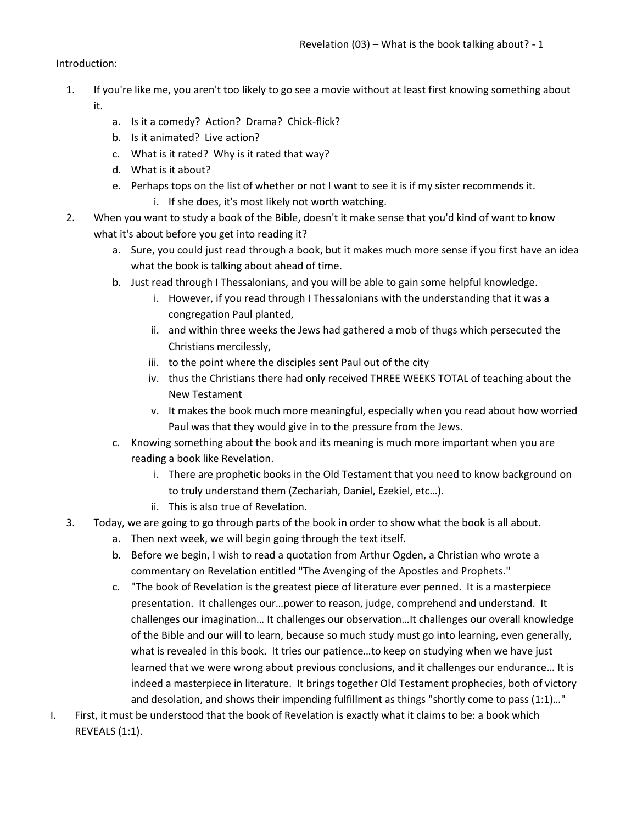Introduction:

- 1. If you're like me, you aren't too likely to go see a movie without at least first knowing something about it.
	- a. Is it a comedy? Action? Drama? Chick-flick?
	- b. Is it animated? Live action?
	- c. What is it rated? Why is it rated that way?
	- d. What is it about?
	- e. Perhaps tops on the list of whether or not I want to see it is if my sister recommends it.
		- i. If she does, it's most likely not worth watching.
- 2. When you want to study a book of the Bible, doesn't it make sense that you'd kind of want to know what it's about before you get into reading it?
	- a. Sure, you could just read through a book, but it makes much more sense if you first have an idea what the book is talking about ahead of time.
	- b. Just read through I Thessalonians, and you will be able to gain some helpful knowledge.
		- i. However, if you read through I Thessalonians with the understanding that it was a congregation Paul planted,
		- ii. and within three weeks the Jews had gathered a mob of thugs which persecuted the Christians mercilessly,
		- iii. to the point where the disciples sent Paul out of the city
		- iv. thus the Christians there had only received THREE WEEKS TOTAL of teaching about the New Testament
		- v. It makes the book much more meaningful, especially when you read about how worried Paul was that they would give in to the pressure from the Jews.
	- c. Knowing something about the book and its meaning is much more important when you are reading a book like Revelation.
		- i. There are prophetic books in the Old Testament that you need to know background on to truly understand them (Zechariah, Daniel, Ezekiel, etc…).
		- ii. This is also true of Revelation.
- 3. Today, we are going to go through parts of the book in order to show what the book is all about.
	- a. Then next week, we will begin going through the text itself.
	- b. Before we begin, I wish to read a quotation from Arthur Ogden, a Christian who wrote a commentary on Revelation entitled "The Avenging of the Apostles and Prophets."
	- c. "The book of Revelation is the greatest piece of literature ever penned. It is a masterpiece presentation. It challenges our…power to reason, judge, comprehend and understand. It challenges our imagination… It challenges our observation…It challenges our overall knowledge of the Bible and our will to learn, because so much study must go into learning, even generally, what is revealed in this book. It tries our patience…to keep on studying when we have just learned that we were wrong about previous conclusions, and it challenges our endurance… It is indeed a masterpiece in literature. It brings together Old Testament prophecies, both of victory and desolation, and shows their impending fulfillment as things "shortly come to pass (1:1)…"
- I. First, it must be understood that the book of Revelation is exactly what it claims to be: a book which REVEALS (1:1).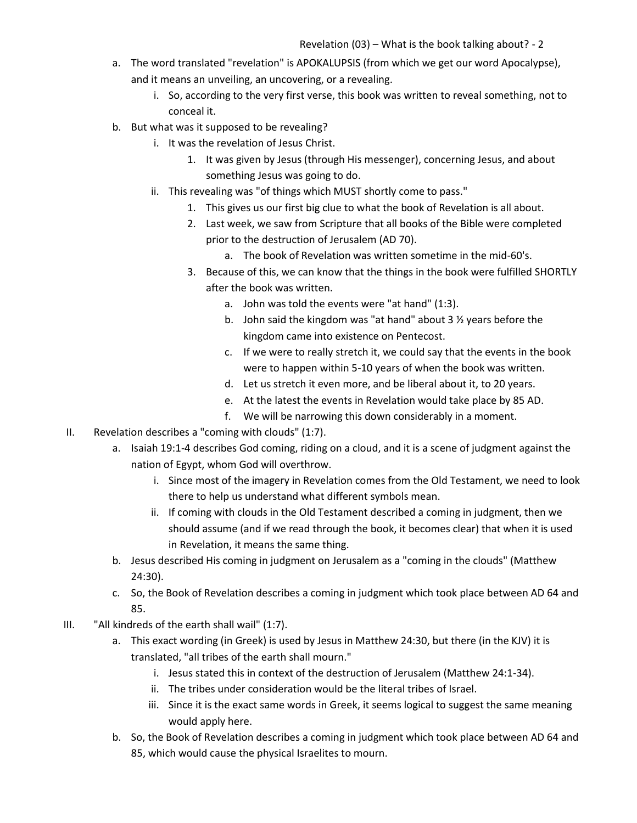- a. The word translated "revelation" is APOKALUPSIS (from which we get our word Apocalypse), and it means an unveiling, an uncovering, or a revealing.
	- i. So, according to the very first verse, this book was written to reveal something, not to conceal it.
- b. But what was it supposed to be revealing?
	- i. It was the revelation of Jesus Christ.
		- 1. It was given by Jesus (through His messenger), concerning Jesus, and about something Jesus was going to do.
	- ii. This revealing was "of things which MUST shortly come to pass."
		- 1. This gives us our first big clue to what the book of Revelation is all about.
		- 2. Last week, we saw from Scripture that all books of the Bible were completed prior to the destruction of Jerusalem (AD 70).
			- a. The book of Revelation was written sometime in the mid-60's.
		- 3. Because of this, we can know that the things in the book were fulfilled SHORTLY after the book was written.
			- a. John was told the events were "at hand" (1:3).
			- b. John said the kingdom was "at hand" about 3 ½ years before the kingdom came into existence on Pentecost.
			- c. If we were to really stretch it, we could say that the events in the book were to happen within 5-10 years of when the book was written.
			- d. Let us stretch it even more, and be liberal about it, to 20 years.
			- e. At the latest the events in Revelation would take place by 85 AD.
			- f. We will be narrowing this down considerably in a moment.
- II. Revelation describes a "coming with clouds" (1:7).
	- a. Isaiah 19:1-4 describes God coming, riding on a cloud, and it is a scene of judgment against the nation of Egypt, whom God will overthrow.
		- i. Since most of the imagery in Revelation comes from the Old Testament, we need to look there to help us understand what different symbols mean.
		- ii. If coming with clouds in the Old Testament described a coming in judgment, then we should assume (and if we read through the book, it becomes clear) that when it is used in Revelation, it means the same thing.
	- b. Jesus described His coming in judgment on Jerusalem as a "coming in the clouds" (Matthew 24:30).
	- c. So, the Book of Revelation describes a coming in judgment which took place between AD 64 and 85.
- III. "All kindreds of the earth shall wail" (1:7).
	- a. This exact wording (in Greek) is used by Jesus in Matthew 24:30, but there (in the KJV) it is translated, "all tribes of the earth shall mourn."
		- i. Jesus stated this in context of the destruction of Jerusalem (Matthew 24:1-34).
		- ii. The tribes under consideration would be the literal tribes of Israel.
		- iii. Since it is the exact same words in Greek, it seems logical to suggest the same meaning would apply here.
	- b. So, the Book of Revelation describes a coming in judgment which took place between AD 64 and 85, which would cause the physical Israelites to mourn.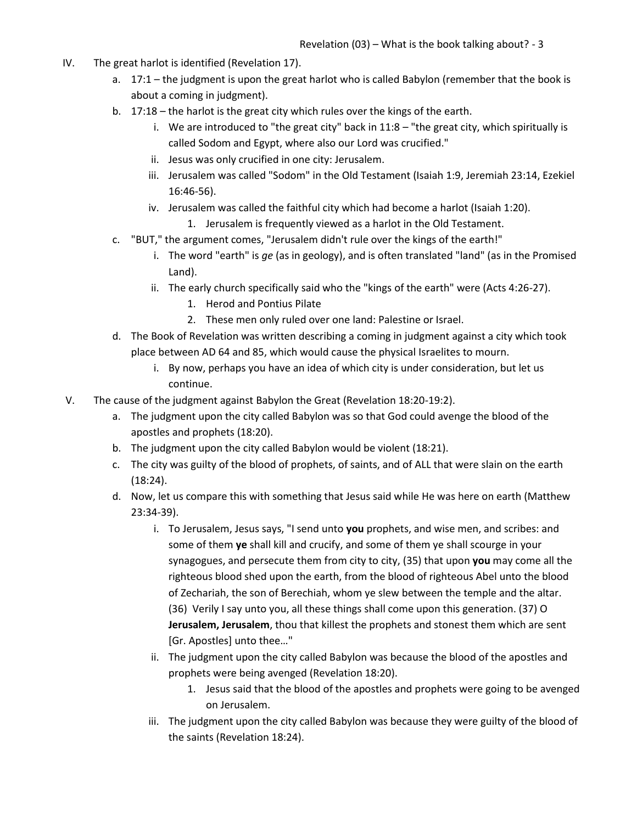- IV. The great harlot is identified (Revelation 17).
	- a. 17:1 the judgment is upon the great harlot who is called Babylon (remember that the book is about a coming in judgment).
	- b. 17:18 the harlot is the great city which rules over the kings of the earth.
		- i. We are introduced to "the great city" back in  $11:8 -$  "the great city, which spiritually is called Sodom and Egypt, where also our Lord was crucified."
		- ii. Jesus was only crucified in one city: Jerusalem.
		- iii. Jerusalem was called "Sodom" in the Old Testament (Isaiah 1:9, Jeremiah 23:14, Ezekiel 16:46-56).
		- iv. Jerusalem was called the faithful city which had become a harlot (Isaiah 1:20).
			- 1. Jerusalem is frequently viewed as a harlot in the Old Testament.
	- c. "BUT," the argument comes, "Jerusalem didn't rule over the kings of the earth!"
		- i. The word "earth" is *ge* (as in geology), and is often translated "land" (as in the Promised Land).
		- ii. The early church specifically said who the "kings of the earth" were (Acts 4:26-27).
			- 1. Herod and Pontius Pilate
			- 2. These men only ruled over one land: Palestine or Israel.
	- d. The Book of Revelation was written describing a coming in judgment against a city which took place between AD 64 and 85, which would cause the physical Israelites to mourn.
		- i. By now, perhaps you have an idea of which city is under consideration, but let us continue.
- V. The cause of the judgment against Babylon the Great (Revelation 18:20-19:2).
	- a. The judgment upon the city called Babylon was so that God could avenge the blood of the apostles and prophets (18:20).
	- b. The judgment upon the city called Babylon would be violent (18:21).
	- c. The city was guilty of the blood of prophets, of saints, and of ALL that were slain on the earth (18:24).
	- d. Now, let us compare this with something that Jesus said while He was here on earth (Matthew 23:34-39).
		- i. To Jerusalem, Jesus says, "I send unto **you** prophets, and wise men, and scribes: and some of them **ye** shall kill and crucify, and some of them ye shall scourge in your synagogues, and persecute them from city to city, (35) that upon **you** may come all the righteous blood shed upon the earth, from the blood of righteous Abel unto the blood of Zechariah, the son of Berechiah, whom ye slew between the temple and the altar. (36) Verily I say unto you, all these things shall come upon this generation. (37) O **Jerusalem, Jerusalem**, thou that killest the prophets and stonest them which are sent [Gr. Apostles] unto thee..."
		- ii. The judgment upon the city called Babylon was because the blood of the apostles and prophets were being avenged (Revelation 18:20).
			- 1. Jesus said that the blood of the apostles and prophets were going to be avenged on Jerusalem.
		- iii. The judgment upon the city called Babylon was because they were guilty of the blood of the saints (Revelation 18:24).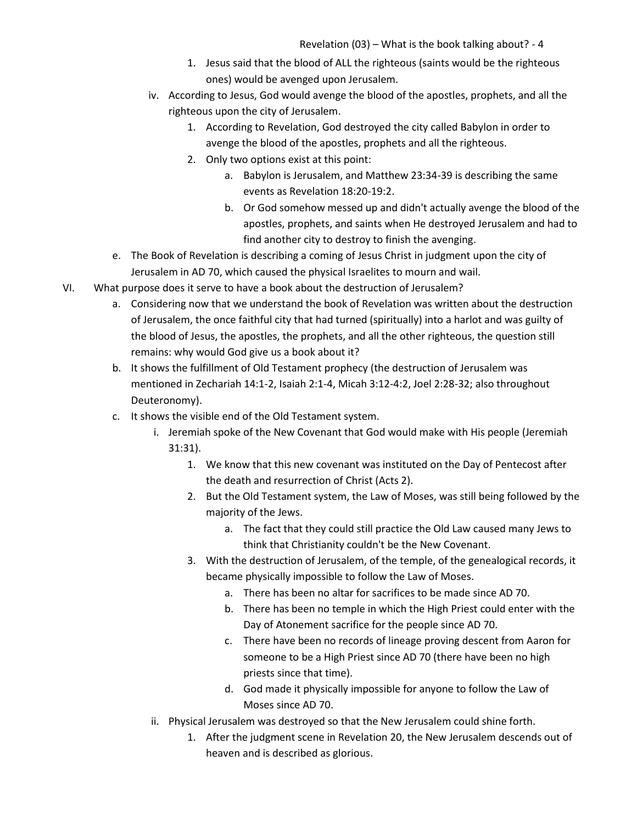- 1. Jesus said that the blood of ALL the righteous (saints would be the righteous ones) would be avenged upon Jerusalem.
- iv. According to Jesus, God would avenge the blood of the apostles, prophets, and all the righteous upon the city of Jerusalem.
	- 1. According to Revelation, God destroyed the city called Babylon in order to avenge the blood of the apostles, prophets and all the righteous.
	- 2. Only two options exist at this point:
		- a. Babylon is Jerusalem, and Matthew 23:34-39 is describing the same events as Revelation 18:20-19:2.
		- b. Or God somehow messed up and didn't actually avenge the blood of the apostles, prophets, and saints when He destroyed Jerusalem and had to find another city to destroy to finish the avenging.
- e. The Book of Revelation is describing a coming of Jesus Christ in judgment upon the city of Jerusalem in AD 70, which caused the physical Israelites to mourn and wail.
- VI. What purpose does it serve to have a book about the destruction of Jerusalem?
	- a. Considering now that we understand the book of Revelation was written about the destruction of Jerusalem, the once faithful city that had turned (spiritually) into a harlot and was guilty of the blood of Jesus, the apostles, the prophets, and all the other righteous, the question still remains: why would God give us a book about it?
	- b. It shows the fulfillment of Old Testament prophecy (the destruction of Jerusalem was mentioned in Zechariah 14:1-2, Isaiah 2:1-4, Micah 3:12-4:2, Joel 2:28-32; also throughout Deuteronomy).
	- c. It shows the visible end of the Old Testament system.
		- i. Jeremiah spoke of the New Covenant that God would make with His people (Jeremiah 31:31).
			- 1. We know that this new covenant was instituted on the Day of Pentecost after the death and resurrection of Christ (Acts 2).
			- 2. But the Old Testament system, the Law of Moses, was still being followed by the majority of the Jews.
				- a. The fact that they could still practice the Old Law caused many Jews to think that Christianity couldn't be the New Covenant.
			- 3. With the destruction of Jerusalem, of the temple, of the genealogical records, it became physically impossible to follow the Law of Moses.
				- a. There has been no altar for sacrifices to be made since AD 70.
				- b. There has been no temple in which the High Priest could enter with the Day of Atonement sacrifice for the people since AD 70.
				- c. There have been no records of lineage proving descent from Aaron for someone to be a High Priest since AD 70 (there have been no high priests since that time).
				- d. God made it physically impossible for anyone to follow the Law of Moses since AD 70.
		- ii. Physical Jerusalem was destroyed so that the New Jerusalem could shine forth.
			- 1. After the judgment scene in Revelation 20, the New Jerusalem descends out of heaven and is described as glorious.